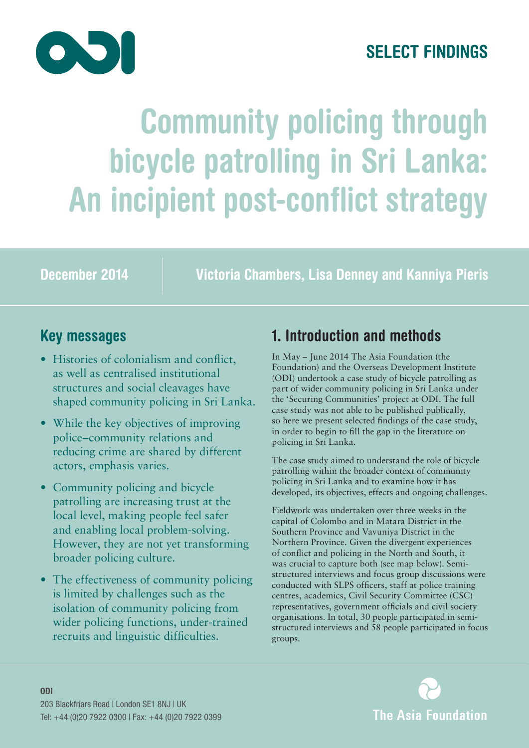

# **SELECT FINDINGS**

# **Community policing through bicycle patrolling in Sri Lanka: An incipient post-conflict strategy**

**December 2014 Victoria Chambers, Lisa Denney and Kanniya Pieris**

## **Key messages**

- Histories of colonialism and conflict, as well as centralised institutional structures and social cleavages have shaped community policing in Sri Lanka.
- While the key objectives of improving police–community relations and reducing crime are shared by different actors, emphasis varies.
- Community policing and bicycle patrolling are increasing trust at the local level, making people feel safer and enabling local problem-solving. However, they are not yet transforming broader policing culture.
- The effectiveness of community policing is limited by challenges such as the isolation of community policing from wider policing functions, under-trained recruits and linguistic difficulties.

# **1. Introduction and methods**

In May – June 2014 The Asia Foundation (the Foundation) and the Overseas Development Institute (ODI) undertook a case study of bicycle patrolling as part of wider community policing in Sri Lanka under the 'Securing Communities' project at ODI. The full case study was not able to be published publically, so here we present selected findings of the case study, in order to begin to fill the gap in the literature on policing in Sri Lanka.

The case study aimed to understand the role of bicycle patrolling within the broader context of community policing in Sri Lanka and to examine how it has developed, its objectives, effects and ongoing challenges.

Fieldwork was undertaken over three weeks in the capital of Colombo and in Matara District in the Southern Province and Vavuniya District in the Northern Province. Given the divergent experiences of conflict and policing in the North and South, it was crucial to capture both (see map below). Semistructured interviews and focus group discussions were conducted with SLPS officers, staff at police training centres, academics, Civil Security Committee (CSC) representatives, government officials and civil society organisations. In total, 30 people participated in semistructured interviews and 58 people participated in focus groups.

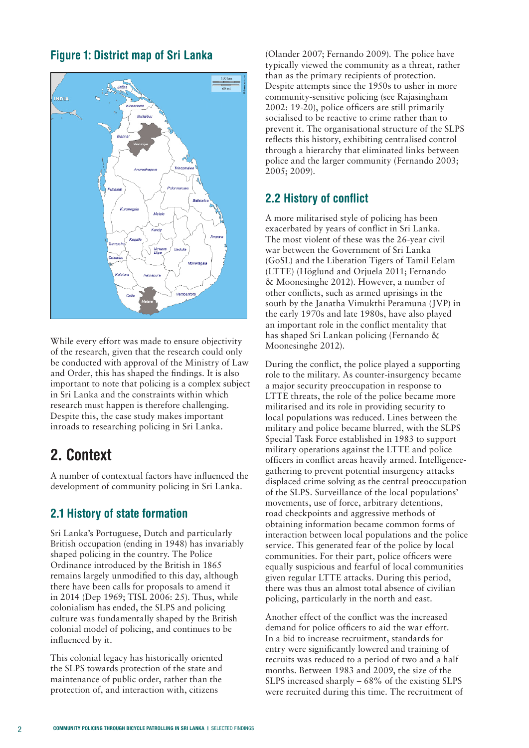#### **Figure 1: District map of Sri Lanka**



While every effort was made to ensure objectivity of the research, given that the research could only be conducted with approval of the Ministry of Law and Order, this has shaped the findings. It is also important to note that policing is a complex subject in Sri Lanka and the constraints within which research must happen is therefore challenging. Despite this, the case study makes important inroads to researching policing in Sri Lanka.

## **2. Context**

A number of contextual factors have influenced the development of community policing in Sri Lanka.

#### **2.1 History of state formation**

Sri Lanka's Portuguese, Dutch and particularly British occupation (ending in 1948) has invariably shaped policing in the country. The Police Ordinance introduced by the British in 1865 remains largely unmodified to this day, although there have been calls for proposals to amend it in 2014 (Dep 1969; TISL 2006: 25). Thus, while colonialism has ended, the SLPS and policing culture was fundamentally shaped by the British colonial model of policing, and continues to be influenced by it.

This colonial legacy has historically oriented the SLPS towards protection of the state and maintenance of public order, rather than the protection of, and interaction with, citizens

(Olander 2007; Fernando 2009). The police have typically viewed the community as a threat, rather than as the primary recipients of protection. Despite attempts since the 1950s to usher in more community-sensitive policing (see Rajasingham 2002: 19-20), police officers are still primarily socialised to be reactive to crime rather than to prevent it. The organisational structure of the SLPS reflects this history, exhibiting centralised control through a hierarchy that eliminated links between police and the larger community (Fernando 2003; 2005; 2009).

#### **2.2 History of conflict**

A more militarised style of policing has been exacerbated by years of conflict in Sri Lanka. The most violent of these was the 26-year civil war between the Government of Sri Lanka (GoSL) and the Liberation Tigers of Tamil Eelam (LTTE) (Höglund and Orjuela 2011; Fernando & Moonesinghe 2012). However, a number of other conflicts, such as armed uprisings in the south by the Janatha Vimukthi Peramuna (JVP) in the early 1970s and late 1980s, have also played an important role in the conflict mentality that has shaped Sri Lankan policing (Fernando & Moonesinghe 2012).

During the conflict, the police played a supporting role to the military. As counter-insurgency became a major security preoccupation in response to LTTE threats, the role of the police became more militarised and its role in providing security to local populations was reduced. Lines between the military and police became blurred, with the SLPS Special Task Force established in 1983 to support military operations against the LTTE and police officers in conflict areas heavily armed. Intelligencegathering to prevent potential insurgency attacks displaced crime solving as the central preoccupation of the SLPS. Surveillance of the local populations' movements, use of force, arbitrary detentions, road checkpoints and aggressive methods of obtaining information became common forms of interaction between local populations and the police service. This generated fear of the police by local communities. For their part, police officers were equally suspicious and fearful of local communities given regular LTTE attacks. During this period, there was thus an almost total absence of civilian policing, particularly in the north and east.

Another effect of the conflict was the increased demand for police officers to aid the war effort. In a bid to increase recruitment, standards for entry were significantly lowered and training of recruits was reduced to a period of two and a half months. Between 1983 and 2009, the size of the SLPS increased sharply – 68% of the existing SLPS were recruited during this time. The recruitment of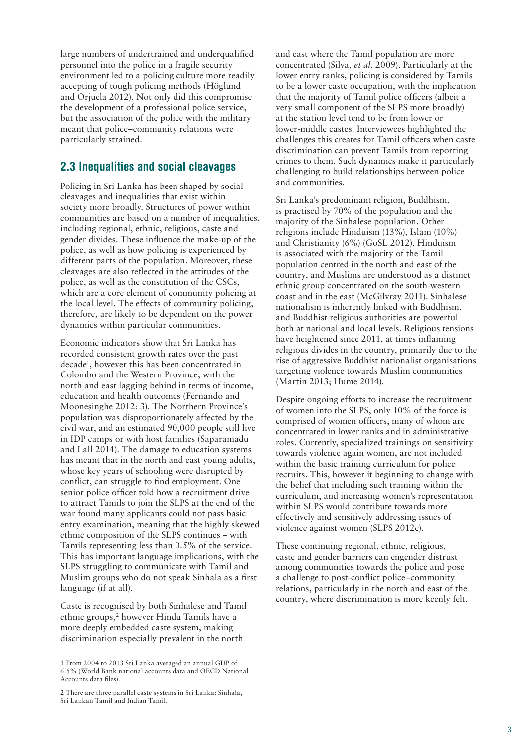large numbers of undertrained and underqualified personnel into the police in a fragile security environment led to a policing culture more readily accepting of tough policing methods (Höglund and Orjuela 2012). Not only did this compromise the development of a professional police service, but the association of the police with the military meant that police–community relations were particularly strained.

#### **2.3 Inequalities and social cleavages**

Policing in Sri Lanka has been shaped by social cleavages and inequalities that exist within society more broadly. Structures of power within communities are based on a number of inequalities, including regional, ethnic, religious, caste and gender divides. These influence the make-up of the police, as well as how policing is experienced by different parts of the population. Moreover, these cleavages are also reflected in the attitudes of the police, as well as the constitution of the CSCs, which are a core element of community policing at the local level. The effects of community policing, therefore, are likely to be dependent on the power dynamics within particular communities.

Economic indicators show that Sri Lanka has recorded consistent growth rates over the past decade1, however this has been concentrated in Colombo and the Western Province, with the north and east lagging behind in terms of income, education and health outcomes (Fernando and Moonesinghe 2012: 3). The Northern Province's population was disproportionately affected by the civil war, and an estimated 90,000 people still live in IDP camps or with host families (Saparamadu and Lall 2014). The damage to education systems has meant that in the north and east young adults, whose key years of schooling were disrupted by conflict, can struggle to find employment. One senior police officer told how a recruitment drive to attract Tamils to join the SLPS at the end of the war found many applicants could not pass basic entry examination, meaning that the highly skewed ethnic composition of the SLPS continues – with Tamils representing less than 0.5% of the service. This has important language implications, with the SLPS struggling to communicate with Tamil and Muslim groups who do not speak Sinhala as a first language (if at all).

Caste is recognised by both Sinhalese and Tamil ethnic groups,<sup>2</sup> however Hindu Tamils have a more deeply embedded caste system, making discrimination especially prevalent in the north

and east where the Tamil population are more concentrated (Silva, *et al*. 2009). Particularly at the lower entry ranks, policing is considered by Tamils to be a lower caste occupation, with the implication that the majority of Tamil police officers (albeit a very small component of the SLPS more broadly) at the station level tend to be from lower or lower-middle castes. Interviewees highlighted the challenges this creates for Tamil officers when caste discrimination can prevent Tamils from reporting crimes to them. Such dynamics make it particularly challenging to build relationships between police and communities.

Sri Lanka's predominant religion, Buddhism, is practised by 70% of the population and the majority of the Sinhalese population. Other religions include Hinduism (13%), Islam (10%) and Christianity (6%) (GoSL 2012). Hinduism is associated with the majority of the Tamil population centred in the north and east of the country, and Muslims are understood as a distinct ethnic group concentrated on the south-western coast and in the east (McGilvray 2011). Sinhalese nationalism is inherently linked with Buddhism, and Buddhist religious authorities are powerful both at national and local levels. Religious tensions have heightened since 2011, at times inflaming religious divides in the country, primarily due to the rise of aggressive Buddhist nationalist organisations targeting violence towards Muslim communities (Martin 2013; Hume 2014).

Despite ongoing efforts to increase the recruitment of women into the SLPS, only 10% of the force is comprised of women officers, many of whom are concentrated in lower ranks and in administrative roles. Currently, specialized trainings on sensitivity towards violence again women, are not included within the basic training curriculum for police recruits. This, however it beginning to change with the belief that including such training within the curriculum, and increasing women's representation within SLPS would contribute towards more effectively and sensitively addressing issues of violence against women (SLPS 2012c).

These continuing regional, ethnic, religious, caste and gender barriers can engender distrust among communities towards the police and pose a challenge to post-conflict police–community relations, particularly in the north and east of the country, where discrimination is more keenly felt.

<sup>1</sup> From 2004 to 2013 Sri Lanka averaged an annual GDP of 6.5% (World Bank national accounts data and OECD National Accounts data files). 

<sup>2</sup> There are three parallel caste systems in Sri Lanka: Sinhala, Sri Lankan Tamil and Indian Tamil.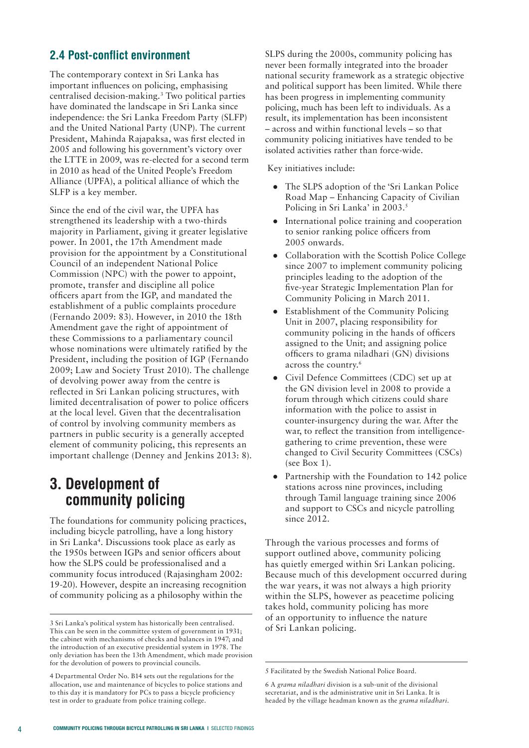#### **2.4 Post-conflict environment**

The contemporary context in Sri Lanka has important influences on policing, emphasising centralised decision-making.3 Two political parties have dominated the landscape in Sri Lanka since independence: the Sri Lanka Freedom Party (SLFP) and the United National Party (UNP). The current President, Mahinda Rajapaksa, was first elected in 2005 and following his government's victory over the LTTE in 2009, was re-elected for a second term in 2010 as head of the United People's Freedom Alliance (UPFA), a political alliance of which the SLFP is a key member.

Since the end of the civil war, the UPFA has strengthened its leadership with a two-thirds majority in Parliament, giving it greater legislative power. In 2001, the 17th Amendment made provision for the appointment by a Constitutional Council of an independent National Police Commission (NPC) with the power to appoint, promote, transfer and discipline all police officers apart from the IGP, and mandated the establishment of a public complaints procedure (Fernando 2009: 83). However, in 2010 the 18th Amendment gave the right of appointment of these Commissions to a parliamentary council whose nominations were ultimately ratified by the President, including the position of IGP (Fernando 2009; Law and Society Trust 2010). The challenge of devolving power away from the centre is reflected in Sri Lankan policing structures, with limited decentralisation of power to police officers at the local level. Given that the decentralisation of control by involving community members as partners in public security is a generally accepted element of community policing, this represents an important challenge (Denney and Jenkins 2013: 8).

## **3. Development of community policing**

The foundations for community policing practices, including bicycle patrolling, have a long history in Sri Lanka<sup>4</sup>. Discussions took place as early as the 1950s between IGPs and senior officers about how the SLPS could be professionalised and a community focus introduced (Rajasingham 2002: 19-20). However, despite an increasing recognition of community policing as a philosophy within the

SLPS during the 2000s, community policing has never been formally integrated into the broader national security framework as a strategic objective and political support has been limited. While there has been progress in implementing community policing, much has been left to individuals. As a result, its implementation has been inconsistent – across and within functional levels – so that community policing initiatives have tended to be isolated activities rather than force-wide.

Key initiatives include:

- The SLPS adoption of the 'Sri Lankan Police Road Map – Enhancing Capacity of Civilian Policing in Sri Lanka' in 2003.<sup>5</sup>
- International police training and cooperation to senior ranking police officers from 2005 onwards.
- Collaboration with the Scottish Police College since 2007 to implement community policing principles leading to the adoption of the five-year Strategic Implementation Plan for Community Policing in March 2011.
- **Establishment of the Community Policing** Unit in 2007, placing responsibility for community policing in the hands of officers assigned to the Unit; and assigning police officers to grama niladhari (GN) divisions across the country.6
- Civil Defence Committees (CDC) set up at the GN division level in 2008 to provide a forum through which citizens could share information with the police to assist in counter-insurgency during the war. After the war, to reflect the transition from intelligencegathering to crime prevention, these were changed to Civil Security Committees (CSCs) (see Box 1).
- Partnership with the Foundation to 142 police stations across nine provinces, including through Tamil language training since 2006 and support to CSCs and nicycle patrolling since 2012.

Through the various processes and forms of support outlined above, community policing has quietly emerged within Sri Lankan policing. Because much of this development occurred during the war years, it was not always a high priority within the SLPS, however as peacetime policing takes hold, community policing has more of an opportunity to influence the nature of Sri Lankan policing.

<sup>3</sup> Sri Lanka's political system has historically been centralised. This can be seen in the committee system of government in 1931; the cabinet with mechanisms of checks and balances in 1947; and the introduction of an executive presidential system in 1978. The only deviation has been the 13th Amendment, which made provision for the devolution of powers to provincial councils.

<sup>4</sup> Departmental Order No. B14 sets out the regulations for the allocation, use and maintenance of bicycles to police stations and to this day it is mandatory for PCs to pass a bicycle proficiency test in order to graduate from police training college.

<sup>5</sup> Facilitated by the Swedish National Police Board.

<sup>6</sup> A *grama niladhari* division is a sub-unit of the divisional secretariat, and is the administrative unit in Sri Lanka. It is headed by the village headman known as the *grama niladhari.*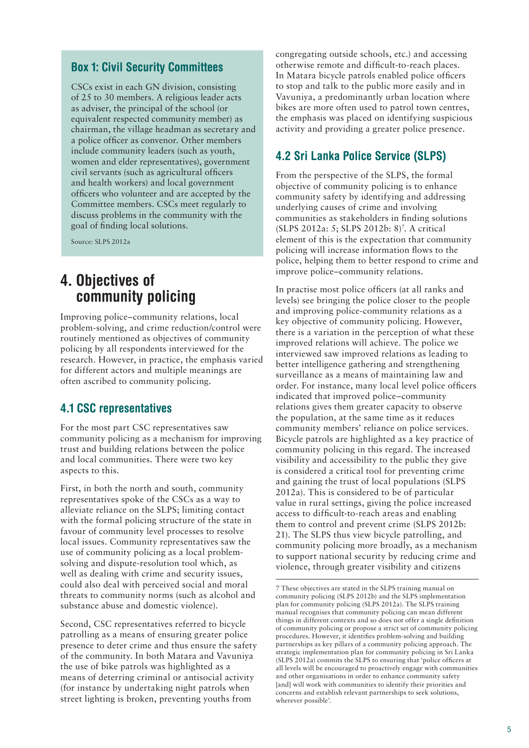#### **Box 1: Civil Security Committees**

CSCs exist in each GN division, consisting of 25 to 30 members. A religious leader acts as adviser, the principal of the school (or equivalent respected community member) as chairman, the village headman as secretary and a police officer as convenor. Other members include community leaders (such as youth, women and elder representatives), government civil servants (such as agricultural officers and health workers) and local government officers who volunteer and are accepted by the Committee members. CSCs meet regularly to discuss problems in the community with the goal of finding local solutions.

Source: SLPS 2012a

## **4. Objectives of community policing**

Improving police–community relations, local problem-solving, and crime reduction/control were routinely mentioned as objectives of community policing by all respondents interviewed for the research. However, in practice, the emphasis varied for different actors and multiple meanings are often ascribed to community policing.

#### **4.1 CSC representatives**

For the most part CSC representatives saw community policing as a mechanism for improving trust and building relations between the police and local communities. There were two key aspects to this.

First, in both the north and south, community representatives spoke of the CSCs as a way to alleviate reliance on the SLPS; limiting contact with the formal policing structure of the state in favour of community level processes to resolve local issues. Community representatives saw the use of community policing as a local problemsolving and dispute-resolution tool which, as well as dealing with crime and security issues, could also deal with perceived social and moral threats to community norms (such as alcohol and substance abuse and domestic violence).

Second, CSC representatives referred to bicycle patrolling as a means of ensuring greater police presence to deter crime and thus ensure the safety of the community. In both Matara and Vavuniya the use of bike patrols was highlighted as a means of deterring criminal or antisocial activity (for instance by undertaking night patrols when street lighting is broken, preventing youths from

congregating outside schools, etc.) and accessing otherwise remote and difficult-to-reach places. In Matara bicycle patrols enabled police officers to stop and talk to the public more easily and in Vavuniya, a predominantly urban location where bikes are more often used to patrol town centres, the emphasis was placed on identifying suspicious activity and providing a greater police presence.

#### **4.2 Sri Lanka Police Service (SLPS)**

From the perspective of the SLPS, the formal objective of community policing is to enhance community safety by identifying and addressing underlying causes of crime and involving communities as stakeholders in finding solutions (SLPS 2012a: 5; SLPS 2012b: 8)7 . A critical element of this is the expectation that community policing will increase information flows to the police, helping them to better respond to crime and improve police–community relations.

In practise most police officers (at all ranks and levels) see bringing the police closer to the people and improving police-community relations as a key objective of community policing. However, there is a variation in the perception of what these improved relations will achieve. The police we interviewed saw improved relations as leading to better intelligence gathering and strengthening surveillance as a means of maintaining law and order. For instance, many local level police officers indicated that improved police–community relations gives them greater capacity to observe the population, at the same time as it reduces community members' reliance on police services. Bicycle patrols are highlighted as a key practice of community policing in this regard. The increased visibility and accessibility to the public they give is considered a critical tool for preventing crime and gaining the trust of local populations (SLPS 2012a). This is considered to be of particular value in rural settings, giving the police increased access to difficult-to-reach areas and enabling them to control and prevent crime (SLPS 2012b: 21). The SLPS thus view bicycle patrolling, and community policing more broadly, as a mechanism to support national security by reducing crime and violence, through greater visibility and citizens

<sup>7</sup> These objectives are stated in the SLPS training manual on community policing (SLPS 2012b) and the SLPS implementation plan for community policing (SLPS 2012a). The SLPS training manual recognises that community policing can mean different things in different contexts and so does not offer a single definition of community policing or propose a strict set of community policing procedures. However, it identifies problem-solving and building partnerships as key pillars of a community policing approach. The strategic implementation plan for community policing in Sri Lanka (SLPS 2012a) commits the SLPS to ensuring that 'police officers at all levels will be encouraged to proactively engage with communities and other organisations in order to enhance community safety [and] will work with communities to identify their priorities and concerns and establish relevant partnerships to seek solutions, wherever possible'.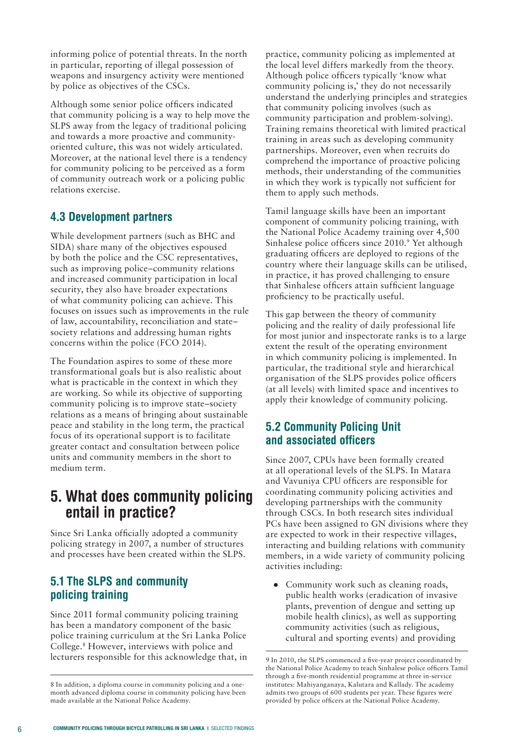informing police of potential threats. In the north in particular, reporting of illegal possession of weapons and insurgency activity were mentioned by police as objectives of the CSCs.

Although some senior police officers indicated that community policing is a way to help move the SLPS away from the legacy of traditional policing and towards a more proactive and communityoriented culture, this was not widely articulated. Moreover, at the national level there is a tendency for community policing to be perceived as a form of community outreach work or a policing public relations exercise.

#### **4.3 Development partners**

While development partners (such as BHC and SIDA) share many of the objectives espoused by both the police and the CSC representatives, such as improving police–community relations and increased community participation in local security, they also have broader expectations of what community policing can achieve. This focuses on issues such as improvements in the rule of law, accountability, reconciliation and state– society relations and addressing human rights concerns within the police (FCO 2014).

The Foundation aspires to some of these more transformational goals but is also realistic about what is practicable in the context in which they are working. So while its objective of supporting community policing is to improve state–society relations as a means of bringing about sustainable peace and stability in the long term, the practical focus of its operational support is to facilitate greater contact and consultation between police units and community members in the short to medium term.

## **5. What does community policing entail in practice?**

Since Sri Lanka officially adopted a community policing strategy in 2007, a number of structures and processes have been created within the SLPS.

#### **5.1 The SLPS and community policing training**

Since 2011 formal community policing training has been a mandatory component of the basic police training curriculum at the Sri Lanka Police College.8 However, interviews with police and lecturers responsible for this acknowledge that, in practice, community policing as implemented at the local level differs markedly from the theory. Although police officers typically 'know what community policing is,' they do not necessarily understand the underlying principles and strategies that community policing involves (such as community participation and problem-solving). Training remains theoretical with limited practical training in areas such as developing community partnerships. Moreover, even when recruits do comprehend the importance of proactive policing methods, their understanding of the communities in which they work is typically not sufficient for them to apply such methods.

Tamil language skills have been an important component of community policing training, with the National Police Academy training over 4,500 Sinhalese police officers since 2010.<sup>9</sup> Yet although graduating officers are deployed to regions of the country where their language skills can be utilised, in practice, it has proved challenging to ensure that Sinhalese officers attain sufficient language proficiency to be practically useful.

This gap between the theory of community policing and the reality of daily professional life for most junior and inspectorate ranks is to a large extent the result of the operating environment in which community policing is implemented. In particular, the traditional style and hierarchical organisation of the SLPS provides police officers (at all levels) with limited space and incentives to apply their knowledge of community policing.

#### **5.2 Community Policing Unit and associated officers**

Since 2007, CPUs have been formally created at all operational levels of the SLPS. In Matara and Vavuniya CPU officers are responsible for coordinating community policing activities and developing partnerships with the community through CSCs. In both research sites individual PCs have been assigned to GN divisions where they are expected to work in their respective villages, interacting and building relations with community members, in a wide variety of community policing activities including:

● Community work such as cleaning roads, public health works (eradication of invasive plants, prevention of dengue and setting up mobile health clinics), as well as supporting community activities (such as religious, cultural and sporting events) and providing

<sup>8</sup> In addition, a diploma course in community policing and a onemonth advanced diploma course in community policing have been made available at the National Police Academy.

<sup>9</sup> In 2010, the SLPS commenced a five-year project coordinated by the National Police Academy to teach Sinhalese police officers Tamil through a five-month residential programme at three in-service institutes: Mahiyanganaya, Kalutara and Kallady. The academy admits two groups of 600 students per year. These figures were provided by police officers at the National Police Academy.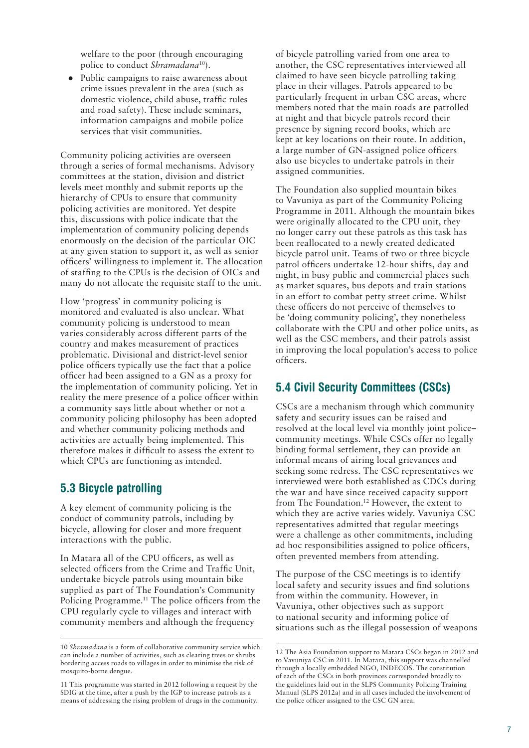welfare to the poor (through encouraging police to conduct *Shramadana*10).

● Public campaigns to raise awareness about crime issues prevalent in the area (such as domestic violence, child abuse, traffic rules and road safety). These include seminars, information campaigns and mobile police services that visit communities.

Community policing activities are overseen through a series of formal mechanisms. Advisory committees at the station, division and district levels meet monthly and submit reports up the hierarchy of CPUs to ensure that community policing activities are monitored. Yet despite this, discussions with police indicate that the implementation of community policing depends enormously on the decision of the particular OIC at any given station to support it, as well as senior officers' willingness to implement it. The allocation of staffing to the CPUs is the decision of OICs and many do not allocate the requisite staff to the unit.

How 'progress' in community policing is monitored and evaluated is also unclear. What community policing is understood to mean varies considerably across different parts of the country and makes measurement of practices problematic. Divisional and district-level senior police officers typically use the fact that a police officer had been assigned to a GN as a proxy for the implementation of community policing. Yet in reality the mere presence of a police officer within a community says little about whether or not a community policing philosophy has been adopted and whether community policing methods and activities are actually being implemented. This therefore makes it difficult to assess the extent to which CPUs are functioning as intended.

#### **5.3 Bicycle patrolling**

A key element of community policing is the conduct of community patrols, including by bicycle, allowing for closer and more frequent interactions with the public.

In Matara all of the CPU officers, as well as selected officers from the Crime and Traffic Unit, undertake bicycle patrols using mountain bike supplied as part of The Foundation's Community Policing Programme.<sup>11</sup> The police officers from the CPU regularly cycle to villages and interact with community members and although the frequency

11 This programme was started in 2012 following a request by the SDIG at the time, after a push by the IGP to increase patrols as a means of addressing the rising problem of drugs in the community. of bicycle patrolling varied from one area to another, the CSC representatives interviewed all claimed to have seen bicycle patrolling taking place in their villages. Patrols appeared to be particularly frequent in urban CSC areas, where members noted that the main roads are patrolled at night and that bicycle patrols record their presence by signing record books, which are kept at key locations on their route. In addition, a large number of GN-assigned police officers also use bicycles to undertake patrols in their assigned communities.

The Foundation also supplied mountain bikes to Vavuniya as part of the Community Policing Programme in 2011. Although the mountain bikes were originally allocated to the CPU unit, they no longer carry out these patrols as this task has been reallocated to a newly created dedicated bicycle patrol unit. Teams of two or three bicycle patrol officers undertake 12-hour shifts, day and night, in busy public and commercial places such as market squares, bus depots and train stations in an effort to combat petty street crime. Whilst these officers do not perceive of themselves to be 'doing community policing', they nonetheless collaborate with the CPU and other police units, as well as the CSC members, and their patrols assist in improving the local population's access to police officers.

#### **5.4 Civil Security Committees (CSCs)**

CSCs are a mechanism through which community safety and security issues can be raised and resolved at the local level via monthly joint police– community meetings. While CSCs offer no legally binding formal settlement, they can provide an informal means of airing local grievances and seeking some redress. The CSC representatives we interviewed were both established as CDCs during the war and have since received capacity support from The Foundation.12 However, the extent to which they are active varies widely. Vavuniya CSC representatives admitted that regular meetings were a challenge as other commitments, including ad hoc responsibilities assigned to police officers, often prevented members from attending.

The purpose of the CSC meetings is to identify local safety and security issues and find solutions from within the community. However, in Vavuniya, other objectives such as support to national security and informing police of situations such as the illegal possession of weapons

<sup>10</sup> *Shramadana* is a form of collaborative community service which can include a number of activities, such as clearing trees or shrubs bordering access roads to villages in order to minimise the risk of mosquito-borne dengue.

<sup>12</sup> The Asia Foundation support to Matara CSCs began in 2012 and to Vavuniya CSC in 2011. In Matara, this support was channelled through a locally embedded NGO, INDECOS. The constitution of each of the CSCs in both provinces corresponded broadly to the guidelines laid out in the SLPS Community Policing Training Manual (SLPS 2012a) and in all cases included the involvement of the police officer assigned to the CSC GN area.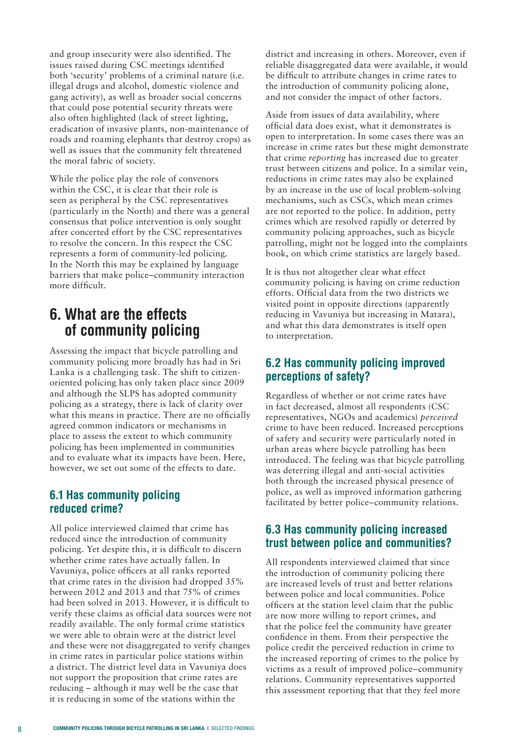and group insecurity were also identified. The issues raised during CSC meetings identified both 'security' problems of a criminal nature (i.e. illegal drugs and alcohol, domestic violence and gang activity), as well as broader social concerns that could pose potential security threats were also often highlighted (lack of street lighting, eradication of invasive plants, non-maintenance of roads and roaming elephants that destroy crops) as well as issues that the community felt threatened the moral fabric of society.

While the police play the role of convenors within the CSC, it is clear that their role is seen as peripheral by the CSC representatives (particularly in the North) and there was a general consensus that police intervention is only sought after concerted effort by the CSC representatives to resolve the concern. In this respect the CSC represents a form of community-led policing. In the North this may be explained by language barriers that make police–community interaction more difficult.

## **6. What are the effects of community policing**

Assessing the impact that bicycle patrolling and community policing more broadly has had in Sri Lanka is a challenging task. The shift to citizenoriented policing has only taken place since 2009 and although the SLPS has adopted community policing as a strategy, there is lack of clarity over what this means in practice. There are no officially agreed common indicators or mechanisms in place to assess the extent to which community policing has been implemented in communities and to evaluate what its impacts have been. Here, however, we set out some of the effects to date.

#### **6.1 Has community policing reduced crime?**

All police interviewed claimed that crime has reduced since the introduction of community policing. Yet despite this, it is difficult to discern whether crime rates have actually fallen. In Vavuniya, police officers at all ranks reported that crime rates in the division had dropped 35% between 2012 and 2013 and that 75% of crimes had been solved in 2013. However, it is difficult to verify these claims as official data sources were not readily available. The only formal crime statistics we were able to obtain were at the district level and these were not disaggregated to verify changes in crime rates in particular police stations within a district. The district level data in Vavuniya does not support the proposition that crime rates are reducing – although it may well be the case that it is reducing in some of the stations within the

district and increasing in others. Moreover, even if reliable disaggregated data were available, it would be difficult to attribute changes in crime rates to the introduction of community policing alone, and not consider the impact of other factors.

Aside from issues of data availability, where official data does exist, what it demonstrates is open to interpretation. In some cases there was an increase in crime rates but these might demonstrate that crime *reporting* has increased due to greater trust between citizens and police. In a similar vein, reductions in crime rates may also be explained by an increase in the use of local problem-solving mechanisms, such as CSCs, which mean crimes are not reported to the police. In addition, petty crimes which are resolved rapidly or deterred by community policing approaches, such as bicycle patrolling, might not be logged into the complaints book, on which crime statistics are largely based.

It is thus not altogether clear what effect community policing is having on crime reduction efforts. Official data from the two districts we visited point in opposite directions (apparently reducing in Vavuniya but increasing in Matara), and what this data demonstrates is itself open to interpretation.

#### **6.2 Has community policing improved perceptions of safety?**

Regardless of whether or not crime rates have in fact decreased, almost all respondents (CSC representatives, NGOs and academics) *perceived* crime to have been reduced. Increased perceptions of safety and security were particularly noted in urban areas where bicycle patrolling has been introduced. The feeling was that bicycle patrolling was deterring illegal and anti-social activities both through the increased physical presence of police, as well as improved information gathering facilitated by better police–community relations.

#### **6.3 Has community policing increased trust between police and communities?**

All respondents interviewed claimed that since the introduction of community policing there are increased levels of trust and better relations between police and local communities. Police officers at the station level claim that the public are now more willing to report crimes, and that the police feel the community have greater confidence in them. From their perspective the police credit the perceived reduction in crime to the increased reporting of crimes to the police by victims as a result of improved police–community relations. Community representatives supported this assessment reporting that that they feel more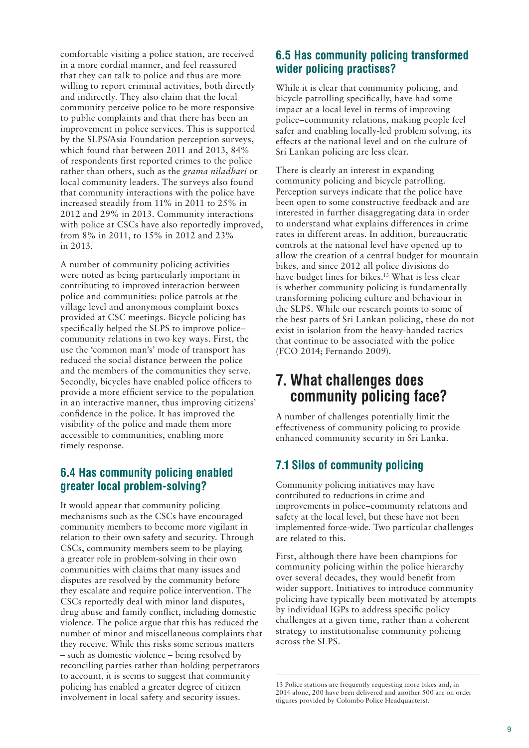comfortable visiting a police station, are received in a more cordial manner, and feel reassured that they can talk to police and thus are more willing to report criminal activities, both directly and indirectly. They also claim that the local community perceive police to be more responsive to public complaints and that there has been an improvement in police services. This is supported by the SLPS/Asia Foundation perception surveys, which found that between 2011 and 2013, 84% of respondents first reported crimes to the police rather than others, such as the *grama niladhari* or local community leaders. The surveys also found that community interactions with the police have increased steadily from 11% in 2011 to 25% in 2012 and 29% in 2013. Community interactions with police at CSCs have also reportedly improved, from 8% in 2011, to 15% in 2012 and 23% in 2013.

A number of community policing activities were noted as being particularly important in contributing to improved interaction between police and communities: police patrols at the village level and anonymous complaint boxes provided at CSC meetings. Bicycle policing has specifically helped the SLPS to improve police– community relations in two key ways. First, the use the 'common man's' mode of transport has reduced the social distance between the police and the members of the communities they serve. Secondly, bicycles have enabled police officers to provide a more efficient service to the population in an interactive manner, thus improving citizens' confidence in the police. It has improved the visibility of the police and made them more accessible to communities, enabling more timely response.

#### **6.4 Has community policing enabled greater local problem-solving?**

It would appear that community policing mechanisms such as the CSCs have encouraged community members to become more vigilant in relation to their own safety and security. Through CSCs, community members seem to be playing a greater role in problem-solving in their own communities with claims that many issues and disputes are resolved by the community before they escalate and require police intervention. The CSCs reportedly deal with minor land disputes, drug abuse and family conflict, including domestic violence. The police argue that this has reduced the number of minor and miscellaneous complaints that they receive. While this risks some serious matters – such as domestic violence – being resolved by reconciling parties rather than holding perpetrators to account, it is seems to suggest that community policing has enabled a greater degree of citizen involvement in local safety and security issues.

#### **6.5 Has community policing transformed wider policing practises?**

While it is clear that community policing, and bicycle patrolling specifically, have had some impact at a local level in terms of improving police–community relations, making people feel safer and enabling locally-led problem solving, its effects at the national level and on the culture of Sri Lankan policing are less clear.

There is clearly an interest in expanding community policing and bicycle patrolling. Perception surveys indicate that the police have been open to some constructive feedback and are interested in further disaggregating data in order to understand what explains differences in crime rates in different areas. In addition, bureaucratic controls at the national level have opened up to allow the creation of a central budget for mountain bikes, and since 2012 all police divisions do have budget lines for bikes.<sup>13</sup> What is less clear is whether community policing is fundamentally transforming policing culture and behaviour in the SLPS. While our research points to some of the best parts of Sri Lankan policing, these do not exist in isolation from the heavy-handed tactics that continue to be associated with the police (FCO 2014; Fernando 2009).

## **7. What challenges does community policing face?**

A number of challenges potentially limit the effectiveness of community policing to provide enhanced community security in Sri Lanka.

#### **7.1 Silos of community policing**

Community policing initiatives may have contributed to reductions in crime and improvements in police–community relations and safety at the local level, but these have not been implemented force-wide. Two particular challenges are related to this.

First, although there have been champions for community policing within the police hierarchy over several decades, they would benefit from wider support. Initiatives to introduce community policing have typically been motivated by attempts by individual IGPs to address specific policy challenges at a given time, rather than a coherent strategy to institutionalise community policing across the SLPS.

<sup>13</sup> Police stations are frequently requesting more bikes and, in 2014 alone, 200 have been delivered and another 500 are on order (figures provided by Colombo Police Headquarters).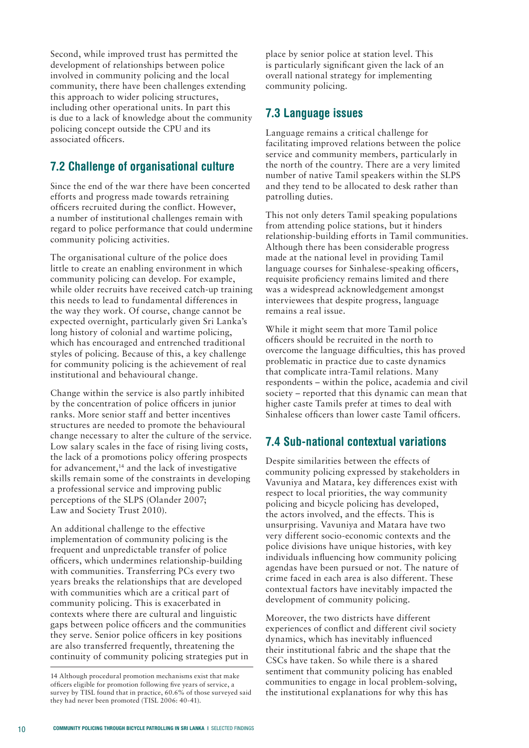Second, while improved trust has permitted the development of relationships between police involved in community policing and the local community, there have been challenges extending this approach to wider policing structures, including other operational units. In part this is due to a lack of knowledge about the community policing concept outside the CPU and its associated officers.

#### **7.2 Challenge of organisational culture**

Since the end of the war there have been concerted efforts and progress made towards retraining officers recruited during the conflict. However, a number of institutional challenges remain with regard to police performance that could undermine community policing activities.

The organisational culture of the police does little to create an enabling environment in which community policing can develop. For example, while older recruits have received catch-up training this needs to lead to fundamental differences in the way they work. Of course, change cannot be expected overnight, particularly given Sri Lanka's long history of colonial and wartime policing, which has encouraged and entrenched traditional styles of policing. Because of this, a key challenge for community policing is the achievement of real institutional and behavioural change.

Change within the service is also partly inhibited by the concentration of police officers in junior ranks. More senior staff and better incentives structures are needed to promote the behavioural change necessary to alter the culture of the service. Low salary scales in the face of rising living costs, the lack of a promotions policy offering prospects for advancement,<sup>14</sup> and the lack of investigative skills remain some of the constraints in developing a professional service and improving public perceptions of the SLPS (Olander 2007; Law and Society Trust 2010).

An additional challenge to the effective implementation of community policing is the frequent and unpredictable transfer of police officers, which undermines relationship-building with communities. Transferring PCs every two years breaks the relationships that are developed with communities which are a critical part of community policing. This is exacerbated in contexts where there are cultural and linguistic gaps between police officers and the communities they serve. Senior police officers in key positions are also transferred frequently, threatening the continuity of community policing strategies put in place by senior police at station level. This is particularly significant given the lack of an overall national strategy for implementing community policing.

#### **7.3 Language issues**

Language remains a critical challenge for facilitating improved relations between the police service and community members, particularly in the north of the country. There are a very limited number of native Tamil speakers within the SLPS and they tend to be allocated to desk rather than patrolling duties.

This not only deters Tamil speaking populations from attending police stations, but it hinders relationship-building efforts in Tamil communities. Although there has been considerable progress made at the national level in providing Tamil language courses for Sinhalese-speaking officers, requisite proficiency remains limited and there was a widespread acknowledgement amongst interviewees that despite progress, language remains a real issue.

While it might seem that more Tamil police officers should be recruited in the north to overcome the language difficulties, this has proved problematic in practice due to caste dynamics that complicate intra-Tamil relations. Many respondents – within the police, academia and civil society – reported that this dynamic can mean that higher caste Tamils prefer at times to deal with Sinhalese officers than lower caste Tamil officers.

#### **7.4 Sub-national contextual variations**

Despite similarities between the effects of community policing expressed by stakeholders in Vavuniya and Matara, key differences exist with respect to local priorities, the way community policing and bicycle policing has developed, the actors involved, and the effects. This is unsurprising. Vavuniya and Matara have two very different socio-economic contexts and the police divisions have unique histories, with key individuals influencing how community policing agendas have been pursued or not. The nature of crime faced in each area is also different. These contextual factors have inevitably impacted the development of community policing.

Moreover, the two districts have different experiences of conflict and different civil society dynamics, which has inevitably influenced their institutional fabric and the shape that the CSCs have taken. So while there is a shared sentiment that community policing has enabled communities to engage in local problem-solving, the institutional explanations for why this has

<sup>14</sup> Although procedural promotion mechanisms exist that make officers eligible for promotion following five years of service, a survey by TISL found that in practice, 60.6% of those surveyed said they had never been promoted (TISL 2006: 40-41).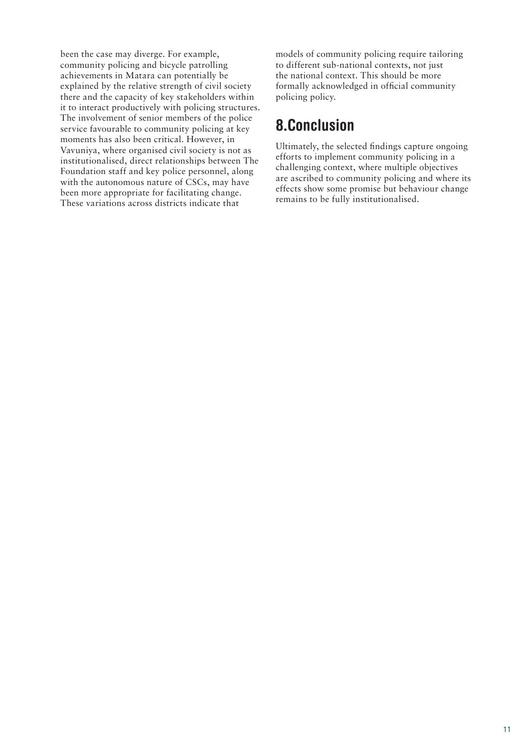been the case may diverge. For example, community policing and bicycle patrolling achievements in Matara can potentially be explained by the relative strength of civil society there and the capacity of key stakeholders within it to interact productively with policing structures. The involvement of senior members of the police service favourable to community policing at key moments has also been critical. However, in Vavuniya, where organised civil society is not as institutionalised, direct relationships between The Foundation staff and key police personnel, along with the autonomous nature of CSCs, may have been more appropriate for facilitating change. These variations across districts indicate that

models of community policing require tailoring to different sub-national contexts, not just the national context. This should be more formally acknowledged in official community policing policy.

## **8.Conclusion**

Ultimately, the selected findings capture ongoing efforts to implement community policing in a challenging context, where multiple objectives are ascribed to community policing and where its effects show some promise but behaviour change remains to be fully institutionalised.